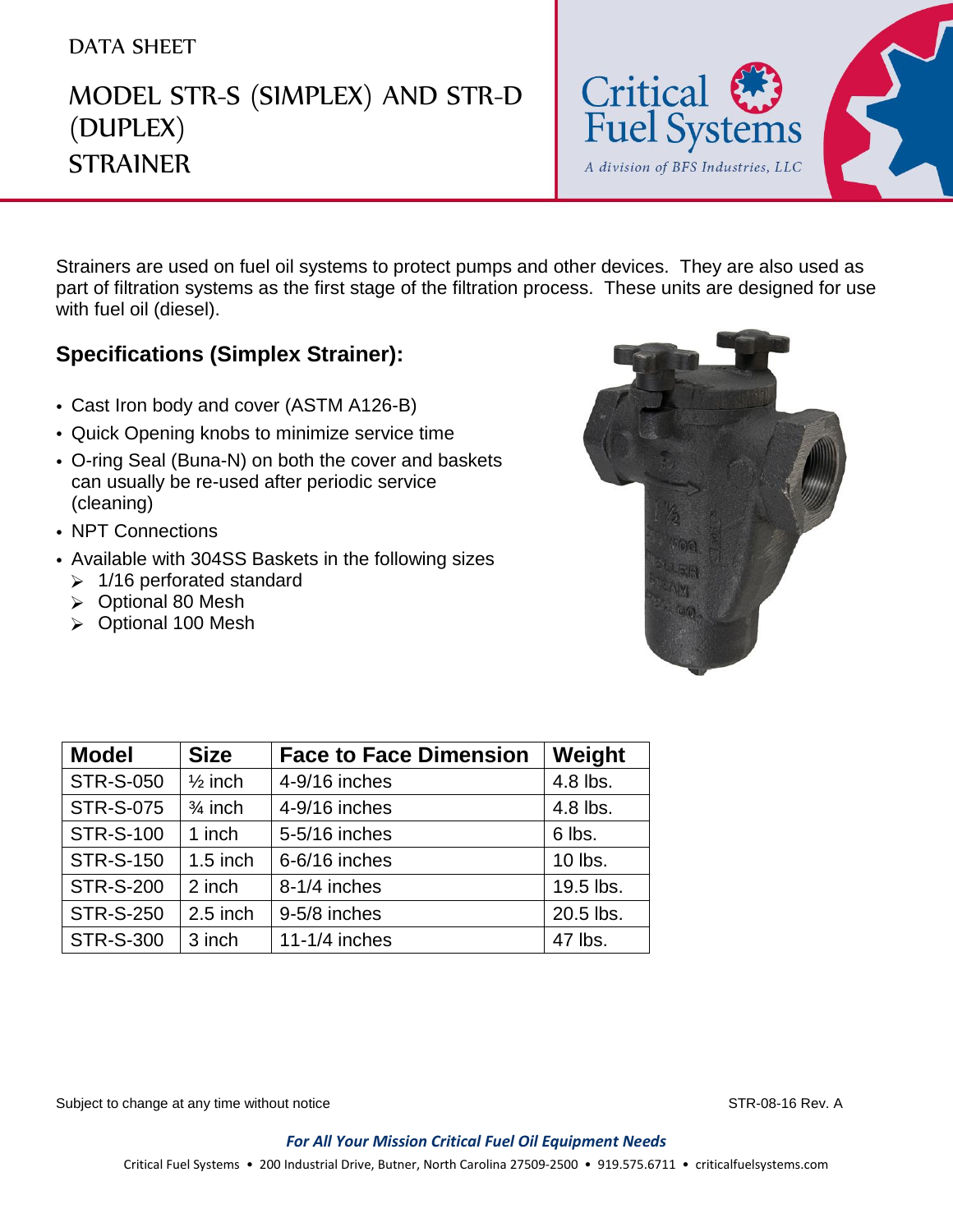## DATA SHEET

## MODEL STR-S (SIMPLEX) AND STR-D (DUPLEX) **STRAINER**



Strainers are used on fuel oil systems to protect pumps and other devices. They are also used as part of filtration systems as the first stage of the filtration process. These units are designed for use with fuel oil (diesel).

## **Specifications (Simplex Strainer):**

- Cast Iron body and cover (ASTM A126-B)
- Quick Opening knobs to minimize service time
- O-ring Seal (Buna-N) on both the cover and baskets can usually be re-used after periodic service (cleaning)
- NPT Connections
- Available with 304SS Baskets in the following sizes
	- $\geq 1/16$  perforated standard
	- **▷** Optional 80 Mesh
	- ▶ Optional 100 Mesh



| <b>Model</b>     | <b>Size</b>        | <b>Face to Face Dimension</b> | Weight    |
|------------------|--------------------|-------------------------------|-----------|
| <b>STR-S-050</b> | $\frac{1}{2}$ inch | 4-9/16 inches                 | 4.8 lbs.  |
| <b>STR-S-075</b> | $\frac{3}{4}$ inch | 4-9/16 inches                 | 4.8 lbs.  |
| <b>STR-S-100</b> | 1 inch             | 5-5/16 inches                 | 6 lbs.    |
| <b>STR-S-150</b> | $1.5$ inch         | 6-6/16 inches                 | 10 lbs.   |
| <b>STR-S-200</b> | 2 inch             | 8-1/4 inches                  | 19.5 lbs. |
| <b>STR-S-250</b> | $2.5$ inch         | 9-5/8 inches                  | 20.5 lbs. |
| <b>STR-S-300</b> | 3 inch             | 11-1/4 inches                 | 47 lbs.   |

Subject to change at any time without notice STR-08-16 Rev. A

*For All Your Mission Critical Fuel Oil Equipment Needs* Critical Fuel Systems • 200 Industrial Drive, Butner, North Carolina 27509-2500 • 919.575.6711 • criticalfuelsystems.com